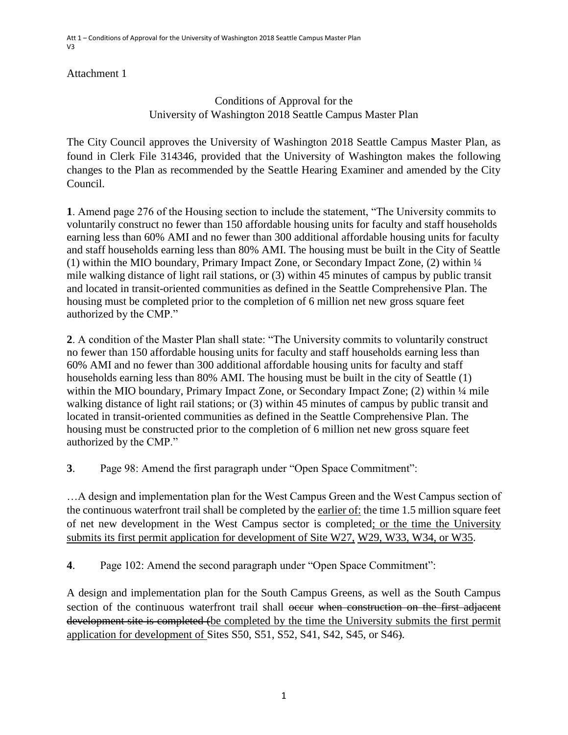#### Attachment 1

### Conditions of Approval for the University of Washington 2018 Seattle Campus Master Plan

The City Council approves the University of Washington 2018 Seattle Campus Master Plan, as found in Clerk File 314346, provided that the University of Washington makes the following changes to the Plan as recommended by the Seattle Hearing Examiner and amended by the City Council.

**1**. Amend page 276 of the Housing section to include the statement, "The University commits to voluntarily construct no fewer than 150 affordable housing units for faculty and staff households earning less than 60% AMI and no fewer than 300 additional affordable housing units for faculty and staff households earning less than 80% AMI. The housing must be built in the City of Seattle (1) within the MIO boundary, Primary Impact Zone, or Secondary Impact Zone, (2) within ¼ mile walking distance of light rail stations, or (3) within 45 minutes of campus by public transit and located in transit-oriented communities as defined in the Seattle Comprehensive Plan. The housing must be completed prior to the completion of 6 million net new gross square feet authorized by the CMP."

**2**. A condition of the Master Plan shall state: "The University commits to voluntarily construct no fewer than 150 affordable housing units for faculty and staff households earning less than 60% AMI and no fewer than 300 additional affordable housing units for faculty and staff households earning less than 80% AMI. The housing must be built in the city of Seattle (1) within the MIO boundary, Primary Impact Zone, or Secondary Impact Zone; (2) within  $\frac{1}{4}$  mile walking distance of light rail stations; or (3) within 45 minutes of campus by public transit and located in transit-oriented communities as defined in the Seattle Comprehensive Plan. The housing must be constructed prior to the completion of 6 million net new gross square feet authorized by the CMP."

**3**. Page 98: Amend the first paragraph under "Open Space Commitment":

…A design and implementation plan for the West Campus Green and the West Campus section of the continuous waterfront trail shall be completed by the earlier of: the time 1.5 million square feet of net new development in the West Campus sector is completed; or the time the University submits its first permit application for development of Site W27, W29, W33, W34, or W35.

**4**. Page 102: Amend the second paragraph under "Open Space Commitment":

A design and implementation plan for the South Campus Greens, as well as the South Campus section of the continuous waterfront trail shall occur when construction on the first adjacent development site is completed (be completed by the time the University submits the first permit application for development of Sites S50, S51, S52, S41, S42, S45, or S46).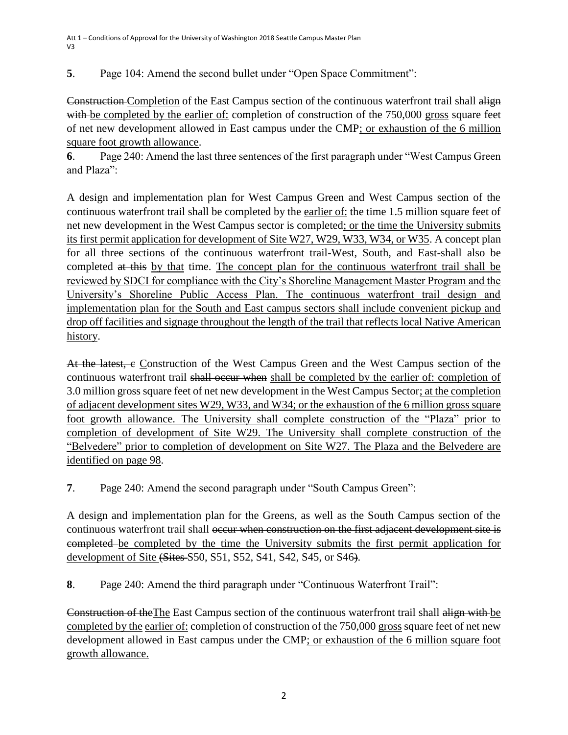**5**. Page 104: Amend the second bullet under "Open Space Commitment":

Construction Completion of the East Campus section of the continuous waterfront trail shall align with be completed by the earlier of: completion of construction of the 750,000 gross square feet of net new development allowed in East campus under the CMP; or exhaustion of the 6 million square foot growth allowance.

**6**. Page 240: Amend the last three sentences of the first paragraph under "West Campus Green and Plaza":

A design and implementation plan for West Campus Green and West Campus section of the continuous waterfront trail shall be completed by the earlier of: the time 1.5 million square feet of net new development in the West Campus sector is completed; or the time the University submits its first permit application for development of Site W27, W29, W33, W34, or W35. A concept plan for all three sections of the continuous waterfront trail-West, South, and East-shall also be completed at this by that time. The concept plan for the continuous waterfront trail shall be reviewed by SDCI for compliance with the City's Shoreline Management Master Program and the University's Shoreline Public Access Plan. The continuous waterfront trail design and implementation plan for the South and East campus sectors shall include convenient pickup and drop off facilities and signage throughout the length of the trail that reflects local Native American history.

At the latest, e Construction of the West Campus Green and the West Campus section of the continuous waterfront trail shall occur when shall be completed by the earlier of: completion of 3.0 million gross square feet of net new development in the West Campus Sector; at the completion of adjacent development sites W29, W33, and W34; or the exhaustion of the 6 million gross square foot growth allowance. The University shall complete construction of the "Plaza" prior to completion of development of Site W29. The University shall complete construction of the "Belvedere" prior to completion of development on Site W27. The Plaza and the Belvedere are identified on page 98.

**7**. Page 240: Amend the second paragraph under "South Campus Green":

A design and implementation plan for the Greens, as well as the South Campus section of the continuous waterfront trail shall <del>occur when construction on the first adjacent development site is</del> completed be completed by the time the University submits the first permit application for development of Site (Sites S50, S51, S52, S41, S42, S45, or S46).

**8**. Page 240: Amend the third paragraph under "Continuous Waterfront Trail":

Construction of theThe East Campus section of the continuous waterfront trail shall align with be completed by the earlier of: completion of construction of the 750,000 gross square feet of net new development allowed in East campus under the CMP; or exhaustion of the 6 million square foot growth allowance.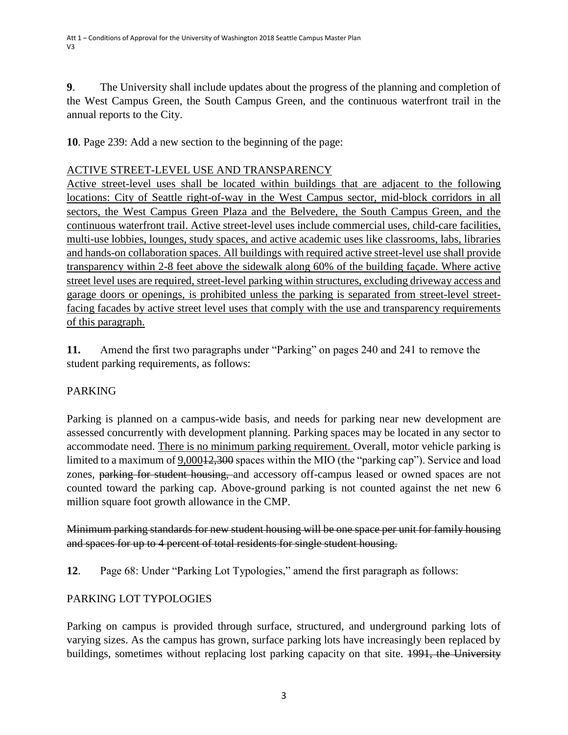**9**. The University shall include updates about the progress of the planning and completion of the West Campus Green, the South Campus Green, and the continuous waterfront trail in the annual reports to the City.

**10**. Page 239: Add a new section to the beginning of the page:

### ACTIVE STREET-LEVEL USE AND TRANSPARENCY

Active street-level uses shall be located within buildings that are adjacent to the following locations: City of Seattle right-of-way in the West Campus sector, mid-block corridors in all sectors, the West Campus Green Plaza and the Belvedere, the South Campus Green, and the continuous waterfront trail. Active street-level uses include commercial uses, child-care facilities, multi-use lobbies, lounges, study spaces, and active academic uses like classrooms, labs, libraries and hands-on collaboration spaces. All buildings with required active street-level use shall provide transparency within 2-8 feet above the sidewalk along 60% of the building façade. Where active street level uses are required, street-level parking within structures, excluding driveway access and garage doors or openings, is prohibited unless the parking is separated from street-level streetfacing facades by active street level uses that comply with the use and transparency requirements of this paragraph.

**11.** Amend the first two paragraphs under "Parking" on pages 240 and 241 to remove the student parking requirements, as follows:

### PARKING

Parking is planned on a campus-wide basis, and needs for parking near new development are assessed concurrently with development planning. Parking spaces may be located in any sector to accommodate need. There is no minimum parking requirement. Overall, motor vehicle parking is limited to a maximum of 9,000<del>12,300</del> spaces within the MIO (the "parking cap"). Service and load zones, parking for student housing, and accessory off-campus leased or owned spaces are not counted toward the parking cap. Above-ground parking is not counted against the net new 6 million square foot growth allowance in the CMP.

Minimum parking standards for new student housing will be one space per unit for family housing and spaces for up to 4 percent of total residents for single student housing.

**12**. Page 68: Under "Parking Lot Typologies," amend the first paragraph as follows:

### PARKING LOT TYPOLOGIES

Parking on campus is provided through surface, structured, and underground parking lots of varying sizes. As the campus has grown, surface parking lots have increasingly been replaced by buildings, sometimes without replacing lost parking capacity on that site. 1991, the University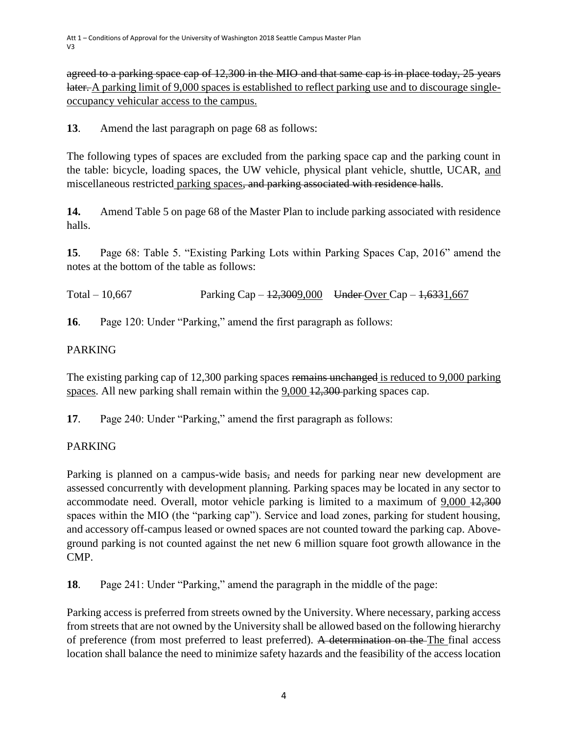agreed to a parking space cap of 12,300 in the MIO and that same cap is in place today, 25 years later. A parking limit of 9,000 spaces is established to reflect parking use and to discourage singleoccupancy vehicular access to the campus.

**13**. Amend the last paragraph on page 68 as follows:

The following types of spaces are excluded from the parking space cap and the parking count in the table: bicycle, loading spaces, the UW vehicle, physical plant vehicle, shuttle, UCAR, and miscellaneous restricted parking spaces, and parking associated with residence halls.

**14.** Amend Table 5 on page 68 of the Master Plan to include parking associated with residence halls.

**15**. Page 68: Table 5. "Existing Parking Lots within Parking Spaces Cap, 2016" amend the notes at the bottom of the table as follows:

Total – 10,667 Parking Cap –  $\frac{12,3009,000}{4}$  Under Over Cap –  $\frac{1,6331,667}{4}$ 

**16**. Page 120: Under "Parking," amend the first paragraph as follows:

## PARKING

The existing parking cap of 12,300 parking spaces remains unchanged is reduced to 9,000 parking spaces. All new parking shall remain within the 9,000 12,300 parking spaces cap.

**17**. Page 240: Under "Parking," amend the first paragraph as follows:

# PARKING

Parking is planned on a campus-wide basis, and needs for parking near new development are assessed concurrently with development planning. Parking spaces may be located in any sector to accommodate need. Overall, motor vehicle parking is limited to a maximum of 9,000 12,300 spaces within the MIO (the "parking cap"). Service and load zones, parking for student housing, and accessory off-campus leased or owned spaces are not counted toward the parking cap. Aboveground parking is not counted against the net new 6 million square foot growth allowance in the CMP.

**18**. Page 241: Under "Parking," amend the paragraph in the middle of the page:

Parking access is preferred from streets owned by the University. Where necessary, parking access from streets that are not owned by the University shall be allowed based on the following hierarchy of preference (from most preferred to least preferred). A determination on the The final access location shall balance the need to minimize safety hazards and the feasibility of the access location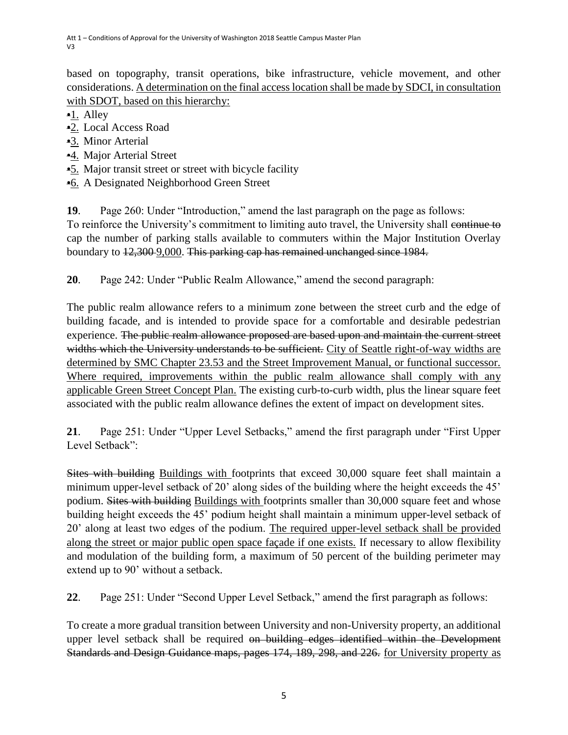based on topography, transit operations, bike infrastructure, vehicle movement, and other considerations. A determination on the final access location shall be made by SDCI, in consultation with SDOT, based on this hierarchy:

•1. Alley

- •2. Local Access Road
- •3. Minor Arterial
- •4. Major Arterial Street
- •5. Major transit street or street with bicycle facility
- •6. A Designated Neighborhood Green Street

**19**. Page 260: Under "Introduction," amend the last paragraph on the page as follows:

To reinforce the University's commitment to limiting auto travel, the University shall continue to cap the number of parking stalls available to commuters within the Major Institution Overlay boundary to 12,300 9,000. This parking cap has remained unchanged since 1984.

**20**. Page 242: Under "Public Realm Allowance," amend the second paragraph:

The public realm allowance refers to a minimum zone between the street curb and the edge of building facade, and is intended to provide space for a comfortable and desirable pedestrian experience. The public realm allowance proposed are based upon and maintain the current street widths which the University understands to be sufficient. City of Seattle right-of-way widths are determined by SMC Chapter 23.53 and the Street Improvement Manual, or functional successor. Where required, improvements within the public realm allowance shall comply with any applicable Green Street Concept Plan. The existing curb-to-curb width, plus the linear square feet associated with the public realm allowance defines the extent of impact on development sites.

**21**. Page 251: Under "Upper Level Setbacks," amend the first paragraph under "First Upper Level Setback":

Sites with building Buildings with footprints that exceed 30,000 square feet shall maintain a minimum upper-level setback of 20' along sides of the building where the height exceeds the 45' podium. Sites with building Buildings with footprints smaller than 30,000 square feet and whose building height exceeds the 45' podium height shall maintain a minimum upper-level setback of 20' along at least two edges of the podium. The required upper-level setback shall be provided along the street or major public open space façade if one exists. If necessary to allow flexibility and modulation of the building form, a maximum of 50 percent of the building perimeter may extend up to 90' without a setback.

**22**. Page 251: Under "Second Upper Level Setback," amend the first paragraph as follows:

To create a more gradual transition between University and non-University property, an additional upper level setback shall be required on building edges identified within the Development Standards and Design Guidance maps, pages 174, 189, 298, and 226. for University property as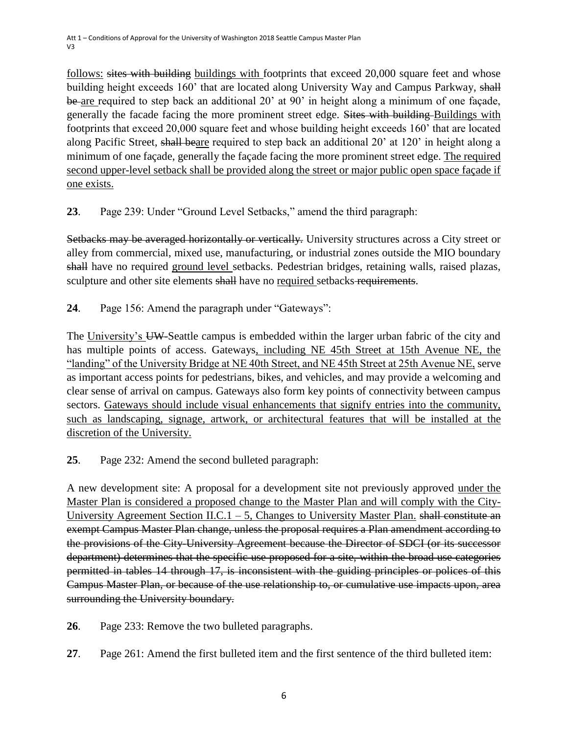follows: sites with building buildings with footprints that exceed 20,000 square feet and whose building height exceeds 160' that are located along University Way and Campus Parkway, shall be are required to step back an additional 20' at 90' in height along a minimum of one façade, generally the facade facing the more prominent street edge. Sites with building Buildings with footprints that exceed 20,000 square feet and whose building height exceeds 160' that are located along Pacific Street, shall beare required to step back an additional 20' at 120' in height along a minimum of one façade, generally the façade facing the more prominent street edge. The required second upper-level setback shall be provided along the street or major public open space façade if one exists.

**23**. Page 239: Under "Ground Level Setbacks," amend the third paragraph:

Setbacks may be averaged horizontally or vertically. University structures across a City street or alley from commercial, mixed use, manufacturing, or industrial zones outside the MIO boundary shall have no required ground level setbacks. Pedestrian bridges, retaining walls, raised plazas, sculpture and other site elements shall have no required setbacks-requirements.

**24**. Page 156: Amend the paragraph under "Gateways":

The University's UW-Seattle campus is embedded within the larger urban fabric of the city and has multiple points of access. Gateways, including NE 45th Street at 15th Avenue NE, the "landing" of the University Bridge at NE 40th Street, and NE 45th Street at 25th Avenue NE, serve as important access points for pedestrians, bikes, and vehicles, and may provide a welcoming and clear sense of arrival on campus. Gateways also form key points of connectivity between campus sectors. Gateways should include visual enhancements that signify entries into the community, such as landscaping, signage, artwork, or architectural features that will be installed at the discretion of the University.

**25**. Page 232: Amend the second bulleted paragraph:

A new development site: A proposal for a development site not previously approved under the Master Plan is considered a proposed change to the Master Plan and will comply with the City-University Agreement Section II.C.1 – 5, Changes to University Master Plan. shall constitute an exempt Campus Master Plan change, unless the proposal requires a Plan amendment according to the provisions of the City-University Agreement because the Director of SDCI (or its successor department) determines that the specific use proposed for a site, within the broad use categories permitted in tables 14 through 17, is inconsistent with the guiding principles or polices of this Campus Master Plan, or because of the use relationship to, or cumulative use impacts upon, area surrounding the University boundary.

**26**. Page 233: Remove the two bulleted paragraphs.

**27**. Page 261: Amend the first bulleted item and the first sentence of the third bulleted item: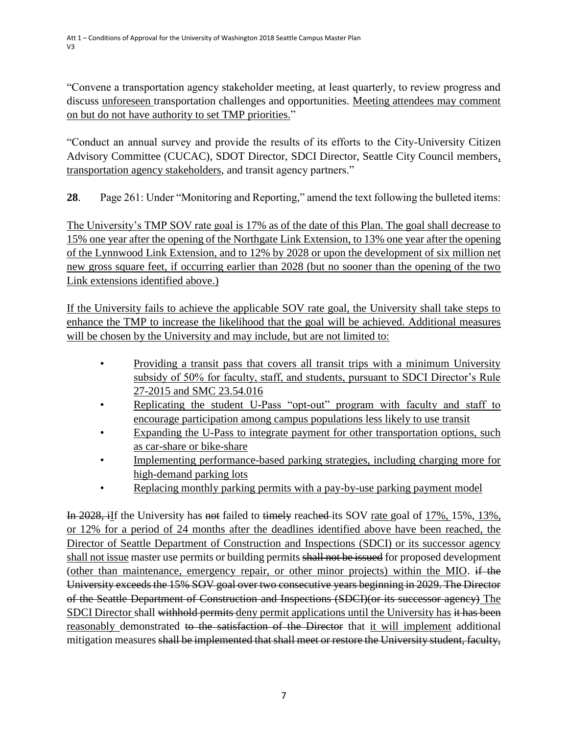"Convene a transportation agency stakeholder meeting, at least quarterly, to review progress and discuss unforeseen transportation challenges and opportunities. Meeting attendees may comment on but do not have authority to set TMP priorities."

"Conduct an annual survey and provide the results of its efforts to the City-University Citizen Advisory Committee (CUCAC), SDOT Director, SDCI Director, Seattle City Council members, transportation agency stakeholders, and transit agency partners."

**28**. Page 261: Under "Monitoring and Reporting," amend the text following the bulleted items:

The University's TMP SOV rate goal is 17% as of the date of this Plan. The goal shall decrease to 15% one year after the opening of the Northgate Link Extension, to 13% one year after the opening of the Lynnwood Link Extension, and to 12% by 2028 or upon the development of six million net new gross square feet, if occurring earlier than 2028 (but no sooner than the opening of the two Link extensions identified above.)

If the University fails to achieve the applicable SOV rate goal, the University shall take steps to enhance the TMP to increase the likelihood that the goal will be achieved. Additional measures will be chosen by the University and may include, but are not limited to:

- Providing a transit pass that covers all transit trips with a minimum University subsidy of 50% for faculty, staff, and students, pursuant to SDCI Director's Rule 27-2015 and SMC 23.54.016
- Replicating the student U-Pass "opt-out" program with faculty and staff to encourage participation among campus populations less likely to use transit
- Expanding the U-Pass to integrate payment for other transportation options, such as car-share or bike-share
- Implementing performance-based parking strategies, including charging more for high-demand parking lots
- Replacing monthly parking permits with a pay-by-use parking payment model

In 2028, ilf the University has not failed to timely reached its SOV rate goal of 17%, 15%, 13%, or 12% for a period of 24 months after the deadlines identified above have been reached, the Director of Seattle Department of Construction and Inspections (SDCI) or its successor agency shall not issue master use permits or building permits shall not be issued for proposed development (other than maintenance, emergency repair, or other minor projects) within the MIO. if the University exceeds the 15% SOV goal over two consecutive years beginning in 2029. The Director of the Seattle Department of Construction and Inspections (SDCI)(or its successor agency) The SDCI Director shall withhold permits deny permit applications until the University has it has been reasonably demonstrated to the satisfaction of the Director that it will implement additional mitigation measures shall be implemented that shall meet or restore the University student, faculty,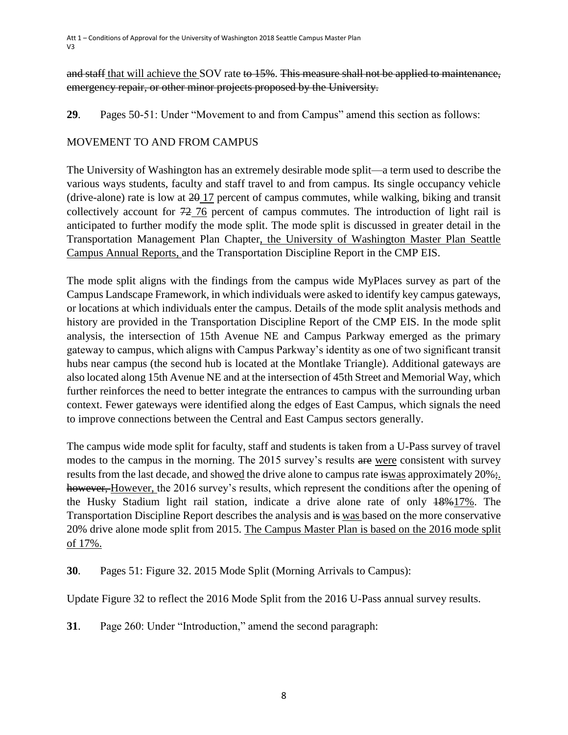and staff that will achieve the SOV rate to 15%. This measure shall not be applied to maintenance, emergency repair, or other minor projects proposed by the University.

**29**. Pages 50-51: Under "Movement to and from Campus" amend this section as follows:

## MOVEMENT TO AND FROM CAMPUS

The University of Washington has an extremely desirable mode split—a term used to describe the various ways students, faculty and staff travel to and from campus. Its single occupancy vehicle (drive-alone) rate is low at  $20\frac{17}{20}$  percent of campus commutes, while walking, biking and transit collectively account for 72 76 percent of campus commutes. The introduction of light rail is anticipated to further modify the mode split. The mode split is discussed in greater detail in the Transportation Management Plan Chapter, the University of Washington Master Plan Seattle Campus Annual Reports, and the Transportation Discipline Report in the CMP EIS.

The mode split aligns with the findings from the campus wide MyPlaces survey as part of the Campus Landscape Framework, in which individuals were asked to identify key campus gateways, or locations at which individuals enter the campus. Details of the mode split analysis methods and history are provided in the Transportation Discipline Report of the CMP EIS. In the mode split analysis, the intersection of 15th Avenue NE and Campus Parkway emerged as the primary gateway to campus, which aligns with Campus Parkway's identity as one of two significant transit hubs near campus (the second hub is located at the Montlake Triangle). Additional gateways are also located along 15th Avenue NE and at the intersection of 45th Street and Memorial Way, which further reinforces the need to better integrate the entrances to campus with the surrounding urban context. Fewer gateways were identified along the edges of East Campus, which signals the need to improve connections between the Central and East Campus sectors generally.

The campus wide mode split for faculty, staff and students is taken from a U-Pass survey of travel modes to the campus in the morning. The 2015 survey's results are were consistent with survey results from the last decade, and showed the drive alone to campus rate is was approximately 20%; however, However, the 2016 survey's results, which represent the conditions after the opening of the Husky Stadium light rail station, indicate a drive alone rate of only 18%17%. The Transportation Discipline Report describes the analysis and is was based on the more conservative 20% drive alone mode split from 2015. The Campus Master Plan is based on the 2016 mode split of 17%.

**30**. Pages 51: Figure 32. 2015 Mode Split (Morning Arrivals to Campus):

Update Figure 32 to reflect the 2016 Mode Split from the 2016 U-Pass annual survey results.

**31**. Page 260: Under "Introduction," amend the second paragraph: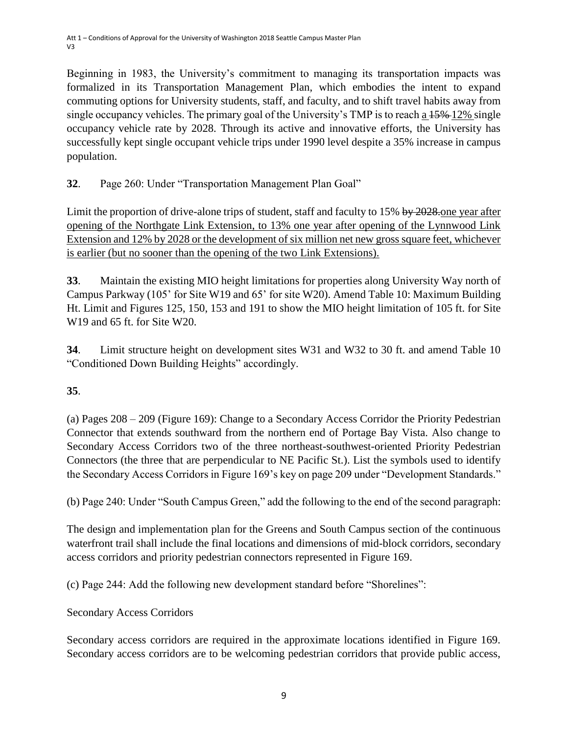Beginning in 1983, the University's commitment to managing its transportation impacts was formalized in its Transportation Management Plan, which embodies the intent to expand commuting options for University students, staff, and faculty, and to shift travel habits away from single occupancy vehicles. The primary goal of the University's TMP is to reach a  $15\%$ -12% single occupancy vehicle rate by 2028. Through its active and innovative efforts, the University has successfully kept single occupant vehicle trips under 1990 level despite a 35% increase in campus population.

# **32**. Page 260: Under "Transportation Management Plan Goal"

Limit the proportion of drive-alone trips of student, staff and faculty to 15% by 2028. One year after opening of the Northgate Link Extension, to 13% one year after opening of the Lynnwood Link Extension and 12% by 2028 or the development of six million net new gross square feet, whichever is earlier (but no sooner than the opening of the two Link Extensions).

**33**. Maintain the existing MIO height limitations for properties along University Way north of Campus Parkway (105' for Site W19 and 65' for site W20). Amend Table 10: Maximum Building Ht. Limit and Figures 125, 150, 153 and 191 to show the MIO height limitation of 105 ft. for Site W19 and 65 ft. for Site W20.

**34**. Limit structure height on development sites W31 and W32 to 30 ft. and amend Table 10 "Conditioned Down Building Heights" accordingly.

# **35**.

(a) Pages 208 – 209 (Figure 169): Change to a Secondary Access Corridor the Priority Pedestrian Connector that extends southward from the northern end of Portage Bay Vista. Also change to Secondary Access Corridors two of the three northeast-southwest-oriented Priority Pedestrian Connectors (the three that are perpendicular to NE Pacific St.). List the symbols used to identify the Secondary Access Corridors in Figure 169's key on page 209 under "Development Standards."

(b) Page 240: Under "South Campus Green," add the following to the end of the second paragraph:

The design and implementation plan for the Greens and South Campus section of the continuous waterfront trail shall include the final locations and dimensions of mid-block corridors, secondary access corridors and priority pedestrian connectors represented in Figure 169.

(c) Page 244: Add the following new development standard before "Shorelines":

Secondary Access Corridors

Secondary access corridors are required in the approximate locations identified in Figure 169. Secondary access corridors are to be welcoming pedestrian corridors that provide public access,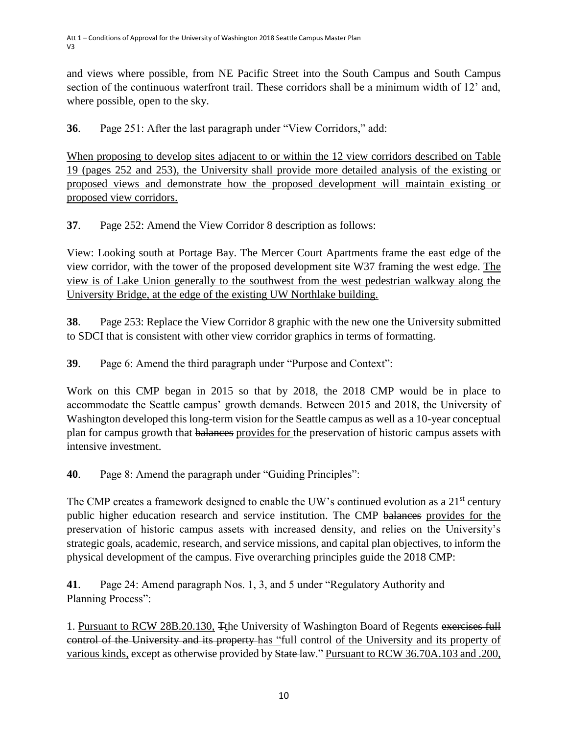and views where possible, from NE Pacific Street into the South Campus and South Campus section of the continuous waterfront trail. These corridors shall be a minimum width of 12' and, where possible, open to the sky.

**36**. Page 251: After the last paragraph under "View Corridors," add:

When proposing to develop sites adjacent to or within the 12 view corridors described on Table 19 (pages 252 and 253), the University shall provide more detailed analysis of the existing or proposed views and demonstrate how the proposed development will maintain existing or proposed view corridors.

**37**. Page 252: Amend the View Corridor 8 description as follows:

View: Looking south at Portage Bay. The Mercer Court Apartments frame the east edge of the view corridor, with the tower of the proposed development site W37 framing the west edge. The view is of Lake Union generally to the southwest from the west pedestrian walkway along the University Bridge, at the edge of the existing UW Northlake building.

**38**. Page 253: Replace the View Corridor 8 graphic with the new one the University submitted to SDCI that is consistent with other view corridor graphics in terms of formatting.

**39**. Page 6: Amend the third paragraph under "Purpose and Context":

Work on this CMP began in 2015 so that by 2018, the 2018 CMP would be in place to accommodate the Seattle campus' growth demands. Between 2015 and 2018, the University of Washington developed this long-term vision for the Seattle campus as well as a 10-year conceptual plan for campus growth that balances provides for the preservation of historic campus assets with intensive investment.

**40**. Page 8: Amend the paragraph under "Guiding Principles":

The CMP creates a framework designed to enable the UW's continued evolution as a 21<sup>st</sup> century public higher education research and service institution. The CMP balances provides for the preservation of historic campus assets with increased density, and relies on the University's strategic goals, academic, research, and service missions, and capital plan objectives, to inform the physical development of the campus. Five overarching principles guide the 2018 CMP:

**41**. Page 24: Amend paragraph Nos. 1, 3, and 5 under "Regulatory Authority and Planning Process":

1. Pursuant to RCW 28B.20.130, Tthe University of Washington Board of Regents exercises full control of the University and its property has "full control of the University and its property of various kinds, except as otherwise provided by State law." Pursuant to RCW 36.70A.103 and .200,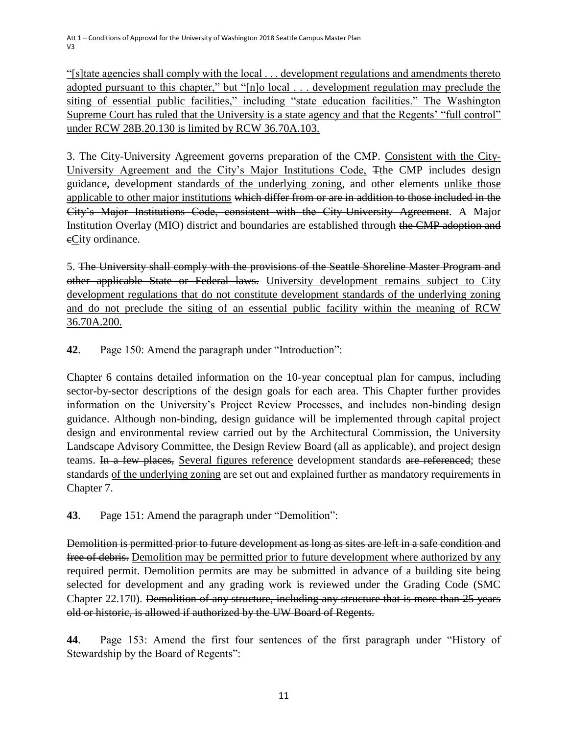"[s]tate agencies shall comply with the local . . . development regulations and amendments thereto adopted pursuant to this chapter," but "[n]o local . . . development regulation may preclude the siting of essential public facilities," including "state education facilities." The Washington Supreme Court has ruled that the University is a state agency and that the Regents' "full control" under RCW 28B.20.130 is limited by RCW 36.70A.103.

3. The City-University Agreement governs preparation of the CMP. Consistent with the City-University Agreement and the City's Major Institutions Code, Tthe CMP includes design guidance, development standards of the underlying zoning, and other elements unlike those applicable to other major institutions which differ from or are in addition to those included in the City's Major Institutions Code, consistent with the City-University Agreement. A Major Institution Overlay (MIO) district and boundaries are established through the CMP adoption and eCity ordinance.

5. The University shall comply with the provisions of the Seattle Shoreline Master Program and other applicable State or Federal laws. University development remains subject to City development regulations that do not constitute development standards of the underlying zoning and do not preclude the siting of an essential public facility within the meaning of RCW 36.70A.200.

**42**. Page 150: Amend the paragraph under "Introduction":

Chapter 6 contains detailed information on the 10-year conceptual plan for campus, including sector-by-sector descriptions of the design goals for each area. This Chapter further provides information on the University's Project Review Processes, and includes non-binding design guidance. Although non-binding, design guidance will be implemented through capital project design and environmental review carried out by the Architectural Commission, the University Landscape Advisory Committee, the Design Review Board (all as applicable), and project design teams. In a few places, Several figures reference development standards are referenced; these standards of the underlying zoning are set out and explained further as mandatory requirements in Chapter 7.

**43**. Page 151: Amend the paragraph under "Demolition":

Demolition is permitted prior to future development as long as sites are left in a safe condition and free of debris. Demolition may be permitted prior to future development where authorized by any required permit. Demolition permits are may be submitted in advance of a building site being selected for development and any grading work is reviewed under the Grading Code (SMC Chapter 22.170). Demolition of any structure, including any structure that is more than 25 years old or historic, is allowed if authorized by the UW Board of Regents.

**44**. Page 153: Amend the first four sentences of the first paragraph under "History of Stewardship by the Board of Regents":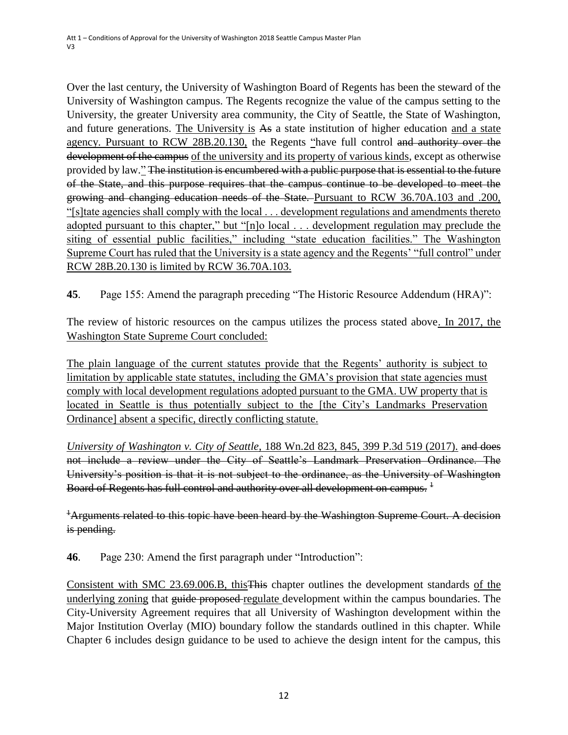Over the last century, the University of Washington Board of Regents has been the steward of the University of Washington campus. The Regents recognize the value of the campus setting to the University, the greater University area community, the City of Seattle, the State of Washington, and future generations. The University is As a state institution of higher education and a state agency. Pursuant to RCW 28B.20.130, the Regents "have full control and authority over the development of the campus of the university and its property of various kinds, except as otherwise provided by law." The institution is encumbered with a public purpose that is essential to the future of the State, and this purpose requires that the campus continue to be developed to meet the growing and changing education needs of the State. Pursuant to RCW 36.70A.103 and .200, "[s]tate agencies shall comply with the local . . . development regulations and amendments thereto adopted pursuant to this chapter," but "[n]o local . . . development regulation may preclude the siting of essential public facilities," including "state education facilities." The Washington Supreme Court has ruled that the University is a state agency and the Regents' "full control" under RCW 28B.20.130 is limited by RCW 36.70A.103.

**45**. Page 155: Amend the paragraph preceding "The Historic Resource Addendum (HRA)":

The review of historic resources on the campus utilizes the process stated above. In 2017, the Washington State Supreme Court concluded:

The plain language of the current statutes provide that the Regents' authority is subject to limitation by applicable state statutes, including the GMA's provision that state agencies must comply with local development regulations adopted pursuant to the GMA. UW property that is located in Seattle is thus potentially subject to the [the City's Landmarks Preservation Ordinance] absent a specific, directly conflicting statute.

*University of Washington v. City of Seattle*, 188 Wn.2d 823, 845, 399 P.3d 519 (2017). and does not include a review under the City of Seattle's Landmark Preservation Ordinance. The University's position is that it is not subject to the ordinance, as the University of Washington Board of Regents has full control and authority over all development on campus.  $^{\rm 1}$ 

<sup>+</sup>Arguments related to this topic have been heard by the Washington Supreme Court. A decision is pending.

**46**. Page 230: Amend the first paragraph under "Introduction":

Consistent with SMC 23.69.006.B, thisThis chapter outlines the development standards of the underlying zoning that guide proposed-regulate development within the campus boundaries. The City-University Agreement requires that all University of Washington development within the Major Institution Overlay (MIO) boundary follow the standards outlined in this chapter. While Chapter 6 includes design guidance to be used to achieve the design intent for the campus, this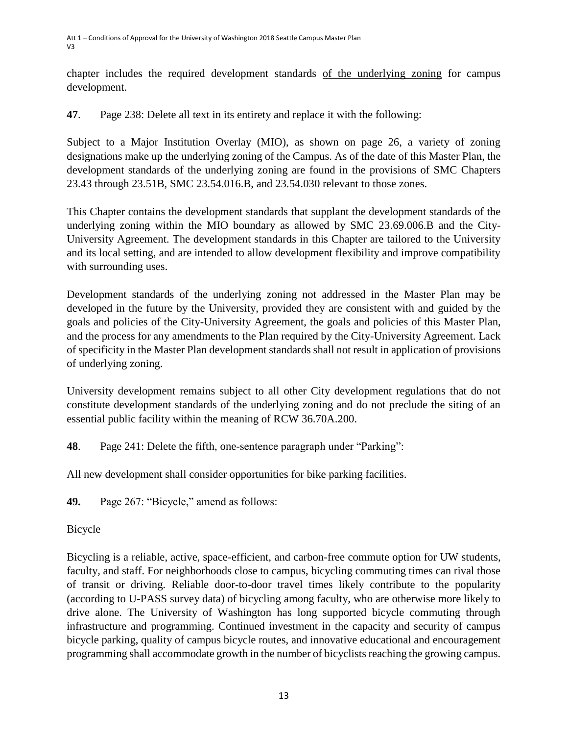chapter includes the required development standards of the underlying zoning for campus development.

**47**. Page 238: Delete all text in its entirety and replace it with the following:

Subject to a Major Institution Overlay (MIO), as shown on page 26, a variety of zoning designations make up the underlying zoning of the Campus. As of the date of this Master Plan, the development standards of the underlying zoning are found in the provisions of SMC Chapters 23.43 through 23.51B, SMC 23.54.016.B, and 23.54.030 relevant to those zones.

This Chapter contains the development standards that supplant the development standards of the underlying zoning within the MIO boundary as allowed by SMC 23.69.006.B and the City-University Agreement. The development standards in this Chapter are tailored to the University and its local setting, and are intended to allow development flexibility and improve compatibility with surrounding uses.

Development standards of the underlying zoning not addressed in the Master Plan may be developed in the future by the University, provided they are consistent with and guided by the goals and policies of the City-University Agreement, the goals and policies of this Master Plan, and the process for any amendments to the Plan required by the City-University Agreement. Lack of specificity in the Master Plan development standards shall not result in application of provisions of underlying zoning.

University development remains subject to all other City development regulations that do not constitute development standards of the underlying zoning and do not preclude the siting of an essential public facility within the meaning of RCW 36.70A.200.

**48**. Page 241: Delete the fifth, one-sentence paragraph under "Parking":

# All new development shall consider opportunities for bike parking facilities.

**49.** Page 267: "Bicycle," amend as follows:

Bicycle

Bicycling is a reliable, active, space-efficient, and carbon-free commute option for UW students, faculty, and staff. For neighborhoods close to campus, bicycling commuting times can rival those of transit or driving. Reliable door-to-door travel times likely contribute to the popularity (according to U-PASS survey data) of bicycling among faculty, who are otherwise more likely to drive alone. The University of Washington has long supported bicycle commuting through infrastructure and programming. Continued investment in the capacity and security of campus bicycle parking, quality of campus bicycle routes, and innovative educational and encouragement programming shall accommodate growth in the number of bicyclists reaching the growing campus.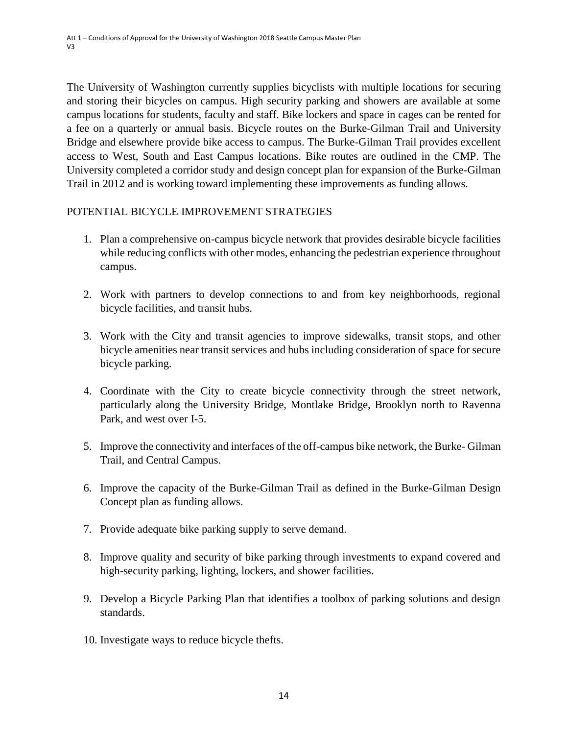The University of Washington currently supplies bicyclists with multiple locations for securing and storing their bicycles on campus. High security parking and showers are available at some campus locations for students, faculty and staff. Bike lockers and space in cages can be rented for a fee on a quarterly or annual basis. Bicycle routes on the Burke-Gilman Trail and University Bridge and elsewhere provide bike access to campus. The Burke-Gilman Trail provides excellent access to West, South and East Campus locations. Bike routes are outlined in the CMP. The University completed a corridor study and design concept plan for expansion of the Burke-Gilman Trail in 2012 and is working toward implementing these improvements as funding allows.

### POTENTIAL BICYCLE IMPROVEMENT STRATEGIES

- 1. Plan a comprehensive on-campus bicycle network that provides desirable bicycle facilities while reducing conflicts with other modes, enhancing the pedestrian experience throughout campus.
- 2. Work with partners to develop connections to and from key neighborhoods, regional bicycle facilities, and transit hubs.
- 3. Work with the City and transit agencies to improve sidewalks, transit stops, and other bicycle amenities near transit services and hubs including consideration of space for secure bicycle parking.
- 4. Coordinate with the City to create bicycle connectivity through the street network, particularly along the University Bridge, Montlake Bridge, Brooklyn north to Ravenna Park, and west over I-5.
- 5. Improve the connectivity and interfaces of the off-campus bike network, the Burke- Gilman Trail, and Central Campus.
- 6. Improve the capacity of the Burke-Gilman Trail as defined in the Burke-Gilman Design Concept plan as funding allows.
- 7. Provide adequate bike parking supply to serve demand.
- 8. Improve quality and security of bike parking through investments to expand covered and high-security parking, lighting, lockers, and shower facilities.
- 9. Develop a Bicycle Parking Plan that identifies a toolbox of parking solutions and design standards.
- 10. Investigate ways to reduce bicycle thefts.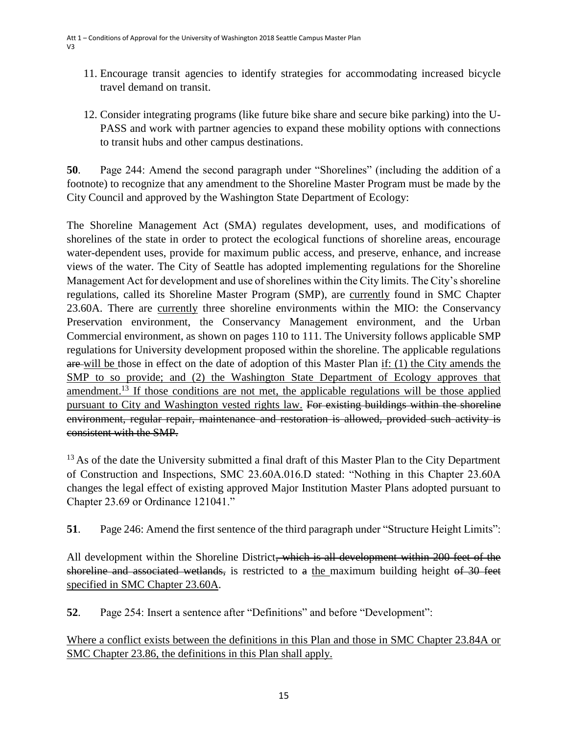- 11. Encourage transit agencies to identify strategies for accommodating increased bicycle travel demand on transit.
- 12. Consider integrating programs (like future bike share and secure bike parking) into the U-PASS and work with partner agencies to expand these mobility options with connections to transit hubs and other campus destinations.

**50**. Page 244: Amend the second paragraph under "Shorelines" (including the addition of a footnote) to recognize that any amendment to the Shoreline Master Program must be made by the City Council and approved by the Washington State Department of Ecology:

The Shoreline Management Act (SMA) regulates development, uses, and modifications of shorelines of the state in order to protect the ecological functions of shoreline areas, encourage water-dependent uses, provide for maximum public access, and preserve, enhance, and increase views of the water. The City of Seattle has adopted implementing regulations for the Shoreline Management Act for development and use of shorelines within the City limits. The City's shoreline regulations, called its Shoreline Master Program (SMP), are currently found in SMC Chapter 23.60A. There are currently three shoreline environments within the MIO: the Conservancy Preservation environment, the Conservancy Management environment, and the Urban Commercial environment, as shown on pages 110 to 111. The University follows applicable SMP regulations for University development proposed within the shoreline. The applicable regulations are will be those in effect on the date of adoption of this Master Plan if: (1) the City amends the SMP to so provide; and (2) the Washington State Department of Ecology approves that amendment.<sup>13</sup> If those conditions are not met, the applicable regulations will be those applied pursuant to City and Washington vested rights law. For existing buildings within the shoreline environment, regular repair, maintenance and restoration is allowed, provided such activity is consistent with the SMP.

<sup>13</sup> As of the date the University submitted a final draft of this Master Plan to the City Department of Construction and Inspections, SMC 23.60A.016.D stated: "Nothing in this Chapter 23.60A changes the legal effect of existing approved Major Institution Master Plans adopted pursuant to Chapter 23.69 or Ordinance 121041."

**51**. Page 246: Amend the first sentence of the third paragraph under "Structure Height Limits":

All development within the Shoreline District, which is all development within 200 feet of the shoreline and associated wetlands, is restricted to a the maximum building height of 30 feet specified in SMC Chapter 23.60A.

**52**. Page 254: Insert a sentence after "Definitions" and before "Development":

Where a conflict exists between the definitions in this Plan and those in SMC Chapter 23.84A or SMC Chapter 23.86, the definitions in this Plan shall apply.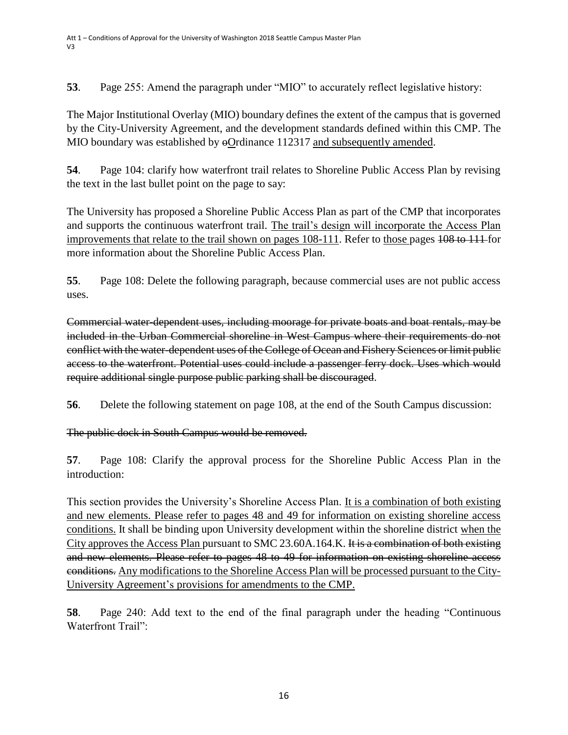**53**. Page 255: Amend the paragraph under "MIO" to accurately reflect legislative history:

The Major Institutional Overlay (MIO) boundary defines the extent of the campus that is governed by the City-University Agreement, and the development standards defined within this CMP. The MIO boundary was established by  $\Theta$ Ordinance 112317 and subsequently amended.

**54**. Page 104: clarify how waterfront trail relates to Shoreline Public Access Plan by revising the text in the last bullet point on the page to say:

The University has proposed a Shoreline Public Access Plan as part of the CMP that incorporates and supports the continuous waterfront trail. The trail's design will incorporate the Access Plan improvements that relate to the trail shown on pages 108-111. Refer to those pages 108 to 111 for more information about the Shoreline Public Access Plan.

**55**. Page 108: Delete the following paragraph, because commercial uses are not public access uses.

Commercial water-dependent uses, including moorage for private boats and boat rentals, may be included in the Urban Commercial shoreline in West Campus where their requirements do not conflict with the water-dependent uses of the College of Ocean and Fishery Sciences or limit public access to the waterfront. Potential uses could include a passenger ferry dock. Uses which would require additional single purpose public parking shall be discouraged.

**56**. Delete the following statement on page 108, at the end of the South Campus discussion:

The public dock in South Campus would be removed.

**57**. Page 108: Clarify the approval process for the Shoreline Public Access Plan in the introduction:

This section provides the University's Shoreline Access Plan. It is a combination of both existing and new elements. Please refer to pages 48 and 49 for information on existing shoreline access conditions. It shall be binding upon University development within the shoreline district when the City approves the Access Plan pursuant to SMC 23.60A.164.K. It is a combination of both existing and new elements. Please refer to pages 48 to 49 for information on existing shoreline access conditions. Any modifications to the Shoreline Access Plan will be processed pursuant to the City-University Agreement's provisions for amendments to the CMP.

**58**. Page 240: Add text to the end of the final paragraph under the heading "Continuous Waterfront Trail":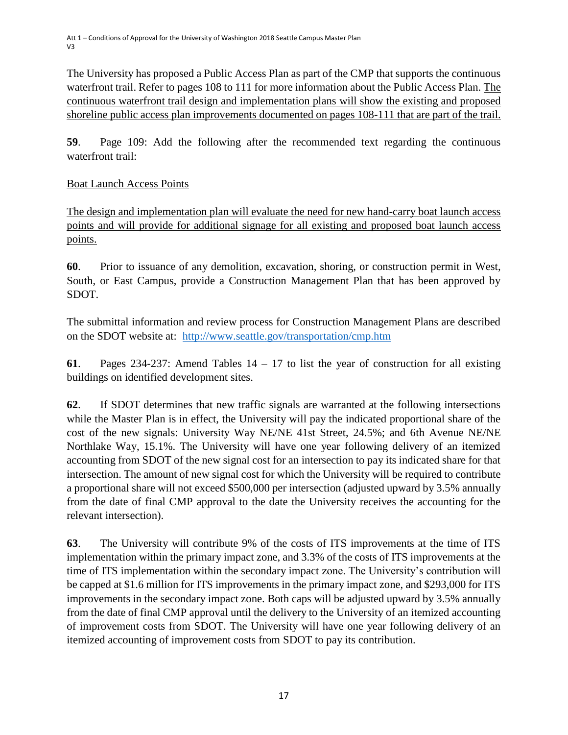The University has proposed a Public Access Plan as part of the CMP that supports the continuous waterfront trail. Refer to pages 108 to 111 for more information about the Public Access Plan. The continuous waterfront trail design and implementation plans will show the existing and proposed shoreline public access plan improvements documented on pages 108-111 that are part of the trail.

**59**. Page 109: Add the following after the recommended text regarding the continuous waterfront trail:

## Boat Launch Access Points

The design and implementation plan will evaluate the need for new hand-carry boat launch access points and will provide for additional signage for all existing and proposed boat launch access points.

**60**. Prior to issuance of any demolition, excavation, shoring, or construction permit in West, South, or East Campus, provide a Construction Management Plan that has been approved by SDOT.

The submittal information and review process for Construction Management Plans are described on the SDOT website at: <http://www.seattle.gov/transportation/cmp.htm>

**61**. Pages 234-237: Amend Tables 14 – 17 to list the year of construction for all existing buildings on identified development sites.

**62**. If SDOT determines that new traffic signals are warranted at the following intersections while the Master Plan is in effect, the University will pay the indicated proportional share of the cost of the new signals: University Way NE/NE 41st Street, 24.5%; and 6th Avenue NE/NE Northlake Way, 15.1%. The University will have one year following delivery of an itemized accounting from SDOT of the new signal cost for an intersection to pay its indicated share for that intersection. The amount of new signal cost for which the University will be required to contribute a proportional share will not exceed \$500,000 per intersection (adjusted upward by 3.5% annually from the date of final CMP approval to the date the University receives the accounting for the relevant intersection).

**63**. The University will contribute 9% of the costs of ITS improvements at the time of ITS implementation within the primary impact zone, and 3.3% of the costs of ITS improvements at the time of ITS implementation within the secondary impact zone. The University's contribution will be capped at \$1.6 million for ITS improvements in the primary impact zone, and \$293,000 for ITS improvements in the secondary impact zone. Both caps will be adjusted upward by 3.5% annually from the date of final CMP approval until the delivery to the University of an itemized accounting of improvement costs from SDOT. The University will have one year following delivery of an itemized accounting of improvement costs from SDOT to pay its contribution.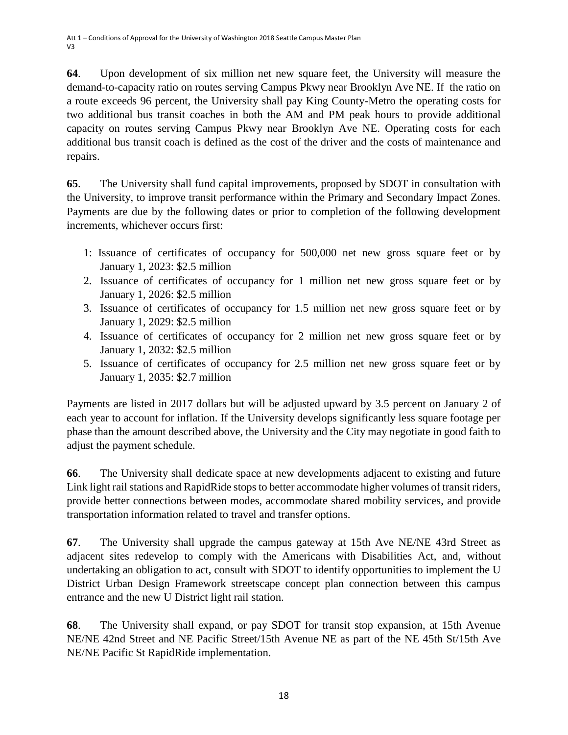**64**. Upon development of six million net new square feet, the University will measure the demand-to-capacity ratio on routes serving Campus Pkwy near Brooklyn Ave NE. If the ratio on a route exceeds 96 percent, the University shall pay King County-Metro the operating costs for two additional bus transit coaches in both the AM and PM peak hours to provide additional capacity on routes serving Campus Pkwy near Brooklyn Ave NE. Operating costs for each additional bus transit coach is defined as the cost of the driver and the costs of maintenance and repairs.

**65**. The University shall fund capital improvements, proposed by SDOT in consultation with the University, to improve transit performance within the Primary and Secondary Impact Zones. Payments are due by the following dates or prior to completion of the following development increments, whichever occurs first:

- 1: Issuance of certificates of occupancy for 500,000 net new gross square feet or by January 1, 2023: \$2.5 million
- 2. Issuance of certificates of occupancy for 1 million net new gross square feet or by January 1, 2026: \$2.5 million
- 3. Issuance of certificates of occupancy for 1.5 million net new gross square feet or by January 1, 2029: \$2.5 million
- 4. Issuance of certificates of occupancy for 2 million net new gross square feet or by January 1, 2032: \$2.5 million
- 5. Issuance of certificates of occupancy for 2.5 million net new gross square feet or by January 1, 2035: \$2.7 million

Payments are listed in 2017 dollars but will be adjusted upward by 3.5 percent on January 2 of each year to account for inflation. If the University develops significantly less square footage per phase than the amount described above, the University and the City may negotiate in good faith to adjust the payment schedule.

**66**. The University shall dedicate space at new developments adjacent to existing and future Link light rail stations and RapidRide stops to better accommodate higher volumes of transit riders, provide better connections between modes, accommodate shared mobility services, and provide transportation information related to travel and transfer options.

**67**. The University shall upgrade the campus gateway at 15th Ave NE/NE 43rd Street as adjacent sites redevelop to comply with the Americans with Disabilities Act, and, without undertaking an obligation to act, consult with SDOT to identify opportunities to implement the U District Urban Design Framework streetscape concept plan connection between this campus entrance and the new U District light rail station.

**68**. The University shall expand, or pay SDOT for transit stop expansion, at 15th Avenue NE/NE 42nd Street and NE Pacific Street/15th Avenue NE as part of the NE 45th St/15th Ave NE/NE Pacific St RapidRide implementation.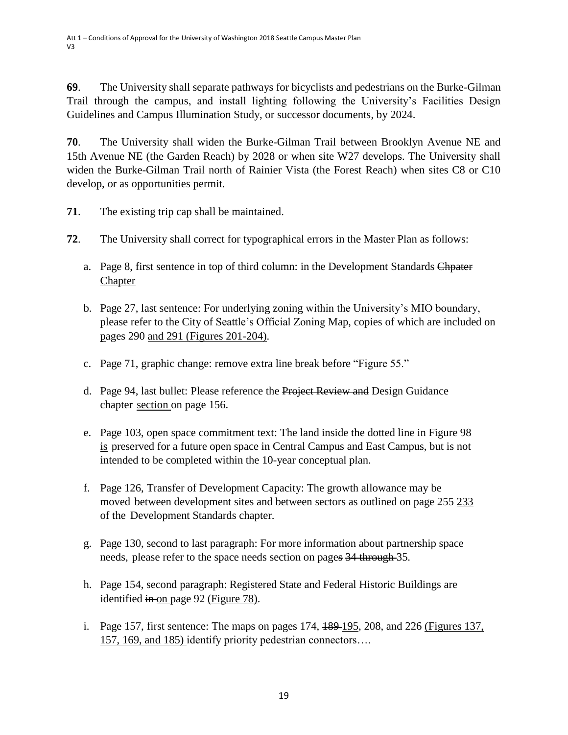**69**. The University shall separate pathways for bicyclists and pedestrians on the Burke-Gilman Trail through the campus, and install lighting following the University's Facilities Design Guidelines and Campus Illumination Study, or successor documents, by 2024.

**70**. The University shall widen the Burke-Gilman Trail between Brooklyn Avenue NE and 15th Avenue NE (the Garden Reach) by 2028 or when site W27 develops. The University shall widen the Burke-Gilman Trail north of Rainier Vista (the Forest Reach) when sites C8 or C10 develop, or as opportunities permit.

- **71**. The existing trip cap shall be maintained.
- **72**. The University shall correct for typographical errors in the Master Plan as follows:
	- a. Page 8, first sentence in top of third column: in the Development Standards Chpater **Chapter**
	- b. Page 27, last sentence: For underlying zoning within the University's MIO boundary, please refer to the City of Seattle's Official Zoning Map, copies of which are included on pages 290 and 291 (Figures 201-204).
	- c. Page 71, graphic change: remove extra line break before "Figure 55."
	- d. Page 94, last bullet: Please reference the Project Review and Design Guidance chapter section on page 156.
	- e. Page 103, open space commitment text: The land inside the dotted line in Figure 98 is preserved for a future open space in Central Campus and East Campus, but is not intended to be completed within the 10-year conceptual plan.
	- f. Page 126, Transfer of Development Capacity: The growth allowance may be moved between development sites and between sectors as outlined on page 255 233 of the Development Standards chapter.
	- g. Page 130, second to last paragraph: For more information about partnership space needs, please refer to the space needs section on pages 34 through 35.
	- h. Page 154, second paragraph: Registered State and Federal Historic Buildings are identified  $\frac{1}{2}$  in on page 92 (Figure 78).
	- i. Page 157, first sentence: The maps on pages  $174$ ,  $189-195$ ,  $208$ , and  $226$  (Figures 137, 157, 169, and 185) identify priority pedestrian connectors….